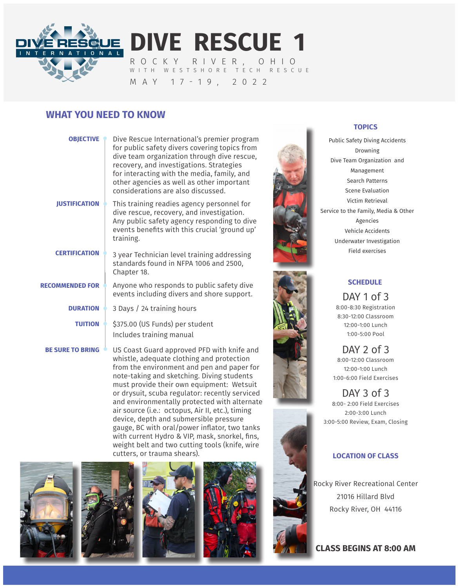

**DIVE RESCUE 1** ROCKY RIVER, OHIO WITH WESTSHORE TECH RESCUE

MAY 17-19, 2022

## **WHAT YOU NEED TO KNOW**

| <b>OBJECTIVE</b>        | Dive Rescue International's premier program<br>for public safety divers covering topics from<br>dive team organization through dive rescue,<br>recovery, and investigations. Strategies<br>for interacting with the media, family, and<br>other agencies as well as other important<br>considerations are also discussed. |
|-------------------------|---------------------------------------------------------------------------------------------------------------------------------------------------------------------------------------------------------------------------------------------------------------------------------------------------------------------------|
| <b>JUSTIFICATION</b>    | This training readies agency personnel for<br>dive rescue, recovery, and investigation.<br>Any public safety agency responding to dive<br>events benefits with this crucial 'ground up'<br>training.                                                                                                                      |
| <b>CERTIFICATION</b>    | 3 year Technician level training addressing<br>standards found in NFPA 1006 and 2500,<br>Chapter 18.                                                                                                                                                                                                                      |
| <b>RECOMMENDED FOR</b>  | Anyone who responds to public safety dive<br>events including divers and shore support.                                                                                                                                                                                                                                   |
| <b>DURATION</b>         | 3 Days / 24 training hours                                                                                                                                                                                                                                                                                                |
| <b>TUITION</b>          | \$375.00 (US Funds) per student<br>Includes training manual                                                                                                                                                                                                                                                               |
| <b>BE SURE TO BRING</b> | US Coast Guard approved PFD with knife and<br>しきょうしょう えいしょう しょうこうしょうしきょう エンティー しょうかん えんき                                                                                                                                                                                                                                  |

whistle, adequate clothing and protection from the environment and pen and paper for note-taking and sketching. Diving students must provide their own equipment: Wetsuit or drysuit, scuba regulator: recently serviced and environmentally protected with alternate air source (i.e.: octopus, Air II, etc.), timing device, depth and submersible pressure gauge, BC with oral/power inflator, two tanks with current Hydro & VIP, mask, snorkel, fins, weight belt and two cutting tools (knife, wire cutters, or trauma shears).











#### **TOPICS**

Public Safety Diving Accidents Drowning Dive Team Organization and Management Search Patterns Scene Evaluation Victim Retrieval Service to the Family, Media & Other Agencies Vehicle Accidents Underwater Investigation Field exercises





DAY 1 of 3 8:00-8:30 Registration 8:30-12:00 Classroom 12:00-1:00 Lunch 1:00-5:00 Pool

DAY 2 of 3 8:00-12:00 Classroom 12:00-1:00 Lunch 1:00-6:00 Field Exercises

DAY 3 of 3 8:00- 2:00 Field Exercises 2:00-3:00 Lunch 3:00-5:00 Review, Exam, Closing

### **LOCATION OF CLASS**

Rocky River Recreational Center 21016 Hillard Blvd Rocky River, OH 44116

**CLASS BEGINS AT 8:00 AM**